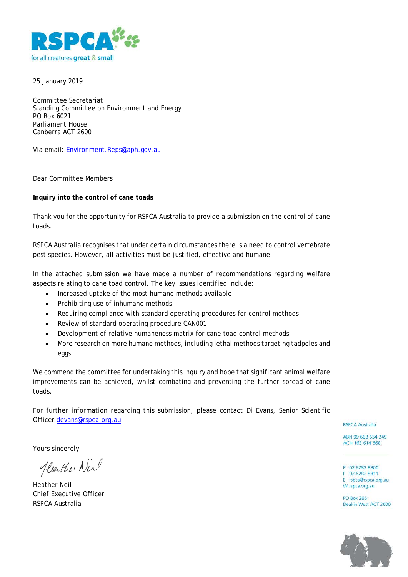

25 January 2019

Committee Secretariat Standing Committee on Environment and Energy PO Box 6021 Parliament House Canberra ACT 2600

Via email: [Environment.Reps@aph.gov.au](mailto:Environment.Reps@aph.gov.au)

Dear Committee Members

#### **Inquiry into the control of cane toads**

Thank you for the opportunity for RSPCA Australia to provide a submission on the control of cane toads.

RSPCA Australia recognises that under certain circumstances there is a need to control vertebrate pest species. However, all activities must be justified, effective and humane.

In the attached submission we have made a number of recommendations regarding welfare aspects relating to cane toad control. The key issues identified include:

- Increased uptake of the most humane methods available
- Prohibiting use of inhumane methods
- Requiring compliance with standard operating procedures for control methods
- Review of standard operating procedure CAN001
- Development of relative humaneness matrix for cane toad control methods
- More research on more humane methods, including lethal methods targeting tadpoles and eggs

We commend the committee for undertaking this inquiry and hope that significant animal welfare improvements can be achieved, whilst combating and preventing the further spread of cane toads.

For further information regarding this submission, please contact Di Evans, Senior Scientific Officer [devans@rspca.org.au](mailto:devans@rspca.org.au)

**RSPCA Australia** 

P 02 6282 8300 F 02 6282 8311 E rspca@rspca.org.au W rspca.org.au **PO Box 265** Deakin West ACT 2600

ABN 99 668 654 249 ACN 163 614 668

Yours sincerely

fleather New

Heather Neil Chief Executive Officer RSPCA Australia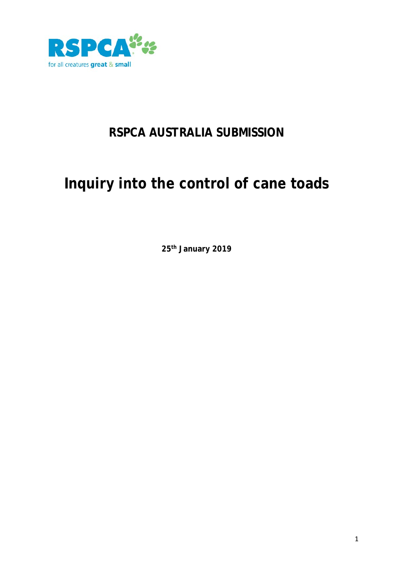

## **RSPCA AUSTRALIA SUBMISSION**

# **Inquiry into the control of cane toads**

**25th January 2019**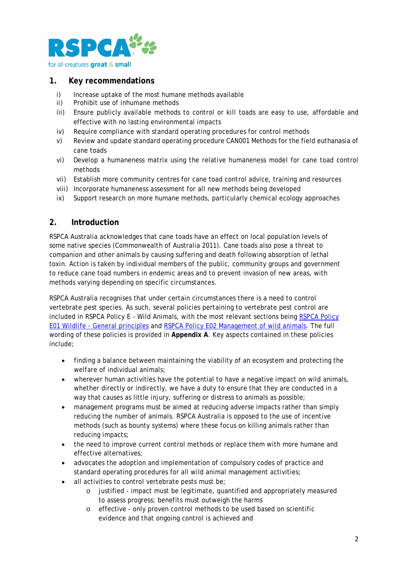

#### **1. Key recommendations**

- i) Increase uptake of the most humane methods available ii) Prohibit use of inhumane methods
- Prohibit use of inhumane methods
- iii) Ensure publicly available methods to control or kill toads are easy to use, affordable and effective with no lasting environmental impacts
- iv) Require compliance with standard operating procedures for control methods
- v) Review and update standard operating procedure CAN001 Methods for the field euthanasia of cane toads
- vi) Develop a humaneness matrix using the relative humaneness model for cane toad control methods
- vii) Establish more community centres for cane toad control advice, training and resources
- viii) Incorporate humaneness assessment for all new methods being developed
- ix) Support research on more humane methods, particularly chemical ecology approaches

#### **2. Introduction**

RSPCA Australia acknowledges that cane toads have an effect on local population levels of some native species (Commonwealth of Australia 2011). Cane toads also pose a threat to companion and other animals by causing suffering and death following absorption of lethal toxin. Action is taken by individual members of the public, community groups and government to reduce cane toad numbers in endemic areas and to prevent invasion of new areas, with methods varying depending on specific circumstances.

RSPCA Australia recognises that under certain circumstances there is a need to control vertebrate pest species. As such, several policies pertaining to vertebrate pest control are included in RSPCA Policy E – Wild Animals, with the most relevant sections being [RSPCA Policy](https://kb.rspca.org.au/rspca-policy-e01-wildlife-general-principles_421.html)  E01 Wildlife - [General principles](https://kb.rspca.org.au/rspca-policy-e01-wildlife-general-principles_421.html) and [RSPCA Policy E02 Management of wild animals.](https://kb.rspca.org.au/rspca-policy-e02-management-of-wild-animals_422.html) The full wording of these policies is provided in **Appendix A**. Key aspects contained in these policies include;

- finding a balance between maintaining the viability of an ecosystem and protecting the welfare of individual animals;
- wherever human activities have the potential to have a negative impact on wild animals, whether directly or indirectly, we have a duty to ensure that they are conducted in a way that causes as little injury, suffering or distress to animals as possible;
- management programs must be aimed at reducing adverse impacts rather than simply reducing the number of animals. RSPCA Australia is opposed to the use of incentive methods (such as bounty systems) where these focus on killing animals rather than reducing impacts;
- the need to improve current control methods or replace them with more humane and effective alternatives;
- advocates the adoption and implementation of compulsory codes of practice and standard operating procedures for all wild animal management activities;
- all activities to control vertebrate pests must be;
	- o justified impact must be legitimate, quantified and appropriately measured to assess progress; benefits must outweigh the harms
	- o effective only proven control methods to be used based on scientific evidence and that ongoing control is achieved and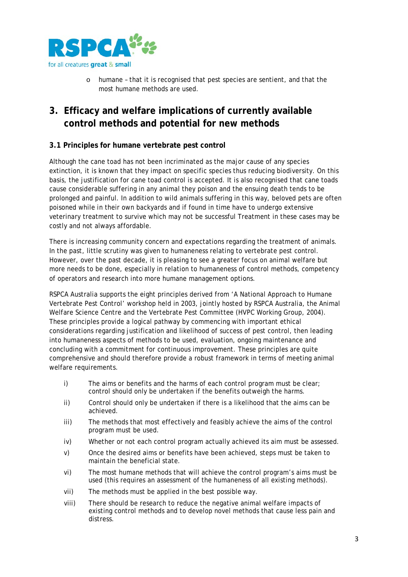

o humane – that it is recognised that pest species are sentient, and that the most humane methods are used.

## **3. Efficacy and welfare implications of currently available control methods and potential for new methods**

#### **3.1 Principles for humane vertebrate pest control**

Although the cane toad has not been incriminated as the major cause of any species extinction, it is known that they impact on specific species thus reducing biodiversity. On this basis, the justification for cane toad control is accepted. It is also recognised that cane toads cause considerable suffering in any animal they poison and the ensuing death tends to be prolonged and painful. In addition to wild animals suffering in this way, beloved pets are often poisoned while in their own backyards and if found in time have to undergo extensive veterinary treatment to survive which may not be successful Treatment in these cases may be costly and not always affordable.

There is increasing community concern and expectations regarding the treatment of animals. In the past, little scrutiny was given to humaneness relating to vertebrate pest control. However, over the past decade, it is pleasing to see a greater focus on animal welfare but more needs to be done, especially in relation to humaneness of control methods, competency of operators and research into more humane management options.

RSPCA Australia supports the eight principles derived from 'A National Approach to Humane Vertebrate Pest Control' workshop held in 2003, jointly hosted by RSPCA Australia, the Animal Welfare Science Centre and the Vertebrate Pest Committee (HVPC Working Group, 2004). These principles provide a logical pathway by commencing with important ethical considerations regarding justification and likelihood of success of pest control, then leading into humaneness aspects of methods to be used, evaluation, ongoing maintenance and concluding with a commitment for continuous improvement. These principles are quite comprehensive and should therefore provide a robust framework in terms of meeting animal welfare requirements.

- i) The aims or benefits and the harms of each control program must be clear; control should only be undertaken if the benefits outweigh the harms.
- ii) Control should only be undertaken if there is a likelihood that the aims can be achieved.
- iii) The methods that most effectively and feasibly achieve the aims of the control program must be used.
- iv) Whether or not each control program actually achieved its aim must be assessed.
- v) Once the desired aims or benefits have been achieved, steps must be taken to maintain the beneficial state.
- vi) The most humane methods that will achieve the control program's aims must be used (this requires an assessment of the humaneness of all existing methods).
- vii) The methods must be applied in the best possible way.
- viii) There should be research to reduce the negative animal welfare impacts of existing control methods and to develop novel methods that cause less pain and distress.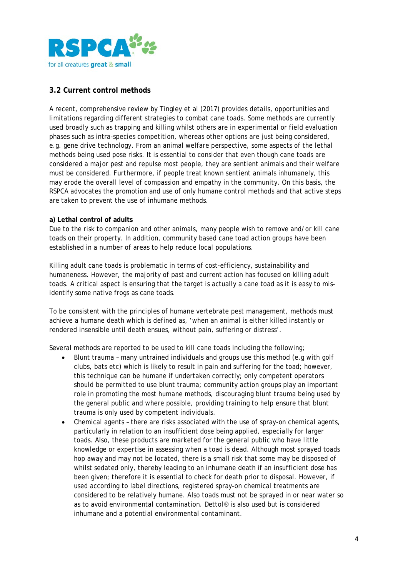

#### **3.2 Current control methods**

A recent, comprehensive review by Tingley et al (2017) provides details, opportunities and limitations regarding different strategies to combat cane toads. Some methods are currently used broadly such as trapping and killing whilst others are in experimental or field evaluation phases such as intra-species competition, whereas other options are just being considered, e.g. gene drive technology. From an animal welfare perspective, some aspects of the lethal methods being used pose risks. It is essential to consider that even though cane toads are considered a major pest and repulse most people, they are sentient animals and their welfare must be considered. Furthermore, if people treat known sentient animals inhumanely, this may erode the overall level of compassion and empathy in the community. On this basis, the RSPCA advocates the promotion and use of only humane control methods and that active steps are taken to prevent the use of inhumane methods.

#### **a) Lethal control of adults**

Due to the risk to companion and other animals, many people wish to remove and/or kill cane toads on their property. In addition, community based cane toad action groups have been established in a number of areas to help reduce local populations.

Killing adult cane toads is problematic in terms of cost-efficiency, sustainability and humaneness. However, the majority of past and current action has focused on killing adult toads. A critical aspect is ensuring that the target is actually a cane toad as it is easy to misidentify some native frogs as cane toads.

To be consistent with the principles of humane vertebrate pest management, methods must achieve a humane death which is defined as, 'when an animal is either killed instantly or rendered insensible until death ensues, without pain, suffering or distress'.

Several methods are reported to be used to kill cane toads including the following;

- Blunt trauma many untrained individuals and groups use this method (e.g with golf clubs, bats etc) which is likely to result in pain and suffering for the toad; however, this technique can be humane if undertaken correctly; only competent operators should be permitted to use blunt trauma; community action groups play an important role in promoting the most humane methods, discouraging blunt trauma being used by the general public and where possible, providing training to help ensure that blunt trauma is only used by competent individuals.
- Chemical agents there are risks associated with the use of spray-on chemical agents, particularly in relation to an insufficient dose being applied, especially for larger toads. Also, these products are marketed for the general public who have little knowledge or expertise in assessing when a toad is dead. Although most sprayed toads hop away and may not be located, there is a small risk that some may be disposed of whilst sedated only, thereby leading to an inhumane death if an insufficient dose has been given; therefore it is essential to check for death prior to disposal. However, if used according to label directions, registered spray-on chemical treatments are considered to be relatively humane. Also toads must not be sprayed in or near water so as to avoid environmental contamination. Dettol® is also used but is considered inhumane and a potential environmental contaminant.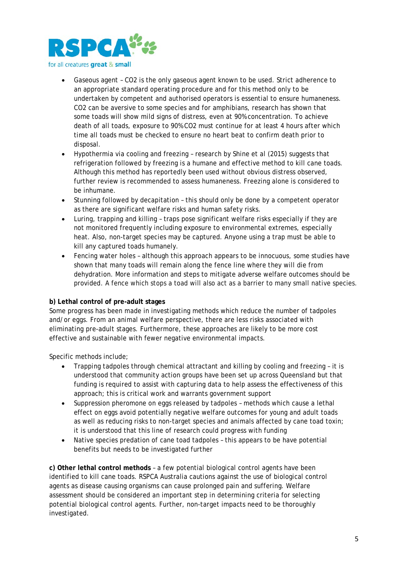

- Gaseous agent CO2 is the only gaseous agent known to be used. Strict adherence to an appropriate standard operating procedure and for this method only to be undertaken by competent and authorised operators is essential to ensure humaneness. CO2 can be aversive to some species and for amphibians, research has shown that some toads will show mild signs of distress, even at 90% concentration. To achieve death of all toads, exposure to 90% CO2 must continue for at least 4 hours after which time all toads must be checked to ensure no heart beat to confirm death prior to disposal.
- Hypothermia via cooling and freezing research by Shine et al (2015) suggests that refrigeration followed by freezing is a humane and effective method to kill cane toads. Although this method has reportedly been used without obvious distress observed, further review is recommended to assess humaneness. Freezing alone is considered to be inhumane.
- Stunning followed by decapitation this should only be done by a competent operator as there are significant welfare risks and human safety risks.
- Luring, trapping and killing traps pose significant welfare risks especially if they are not monitored frequently including exposure to environmental extremes, especially heat. Also, non-target species may be captured. Anyone using a trap must be able to kill any captured toads humanely.
- Fencing water holes although this approach appears to be innocuous, some studies have shown that many toads will remain along the fence line where they will die from dehydration. More information and steps to mitigate adverse welfare outcomes should be provided. A fence which stops a toad will also act as a barrier to many small native species.

#### **b) Lethal control of pre-adult stages**

Some progress has been made in investigating methods which reduce the number of tadpoles and/or eggs. From an animal welfare perspective, there are less risks associated with eliminating pre-adult stages. Furthermore, these approaches are likely to be more cost effective and sustainable with fewer negative environmental impacts.

Specific methods include;

- Trapping tadpoles through chemical attractant and killing by cooling and freezing it is understood that community action groups have been set up across Queensland but that funding is required to assist with capturing data to help assess the effectiveness of this approach; this is critical work and warrants government support
- Suppression pheromone on eggs released by tadpoles methods which cause a lethal effect on eggs avoid potentially negative welfare outcomes for young and adult toads as well as reducing risks to non-target species and animals affected by cane toad toxin; it is understood that this line of research could progress with funding
- Native species predation of cane toad tadpoles this appears to be have potential benefits but needs to be investigated further

**c) Other lethal control methods** – a few potential biological control agents have been identified to kill cane toads. RSPCA Australia cautions against the use of biological control agents as disease causing organisms can cause prolonged pain and suffering. Welfare assessment should be considered an important step in determining criteria for selecting potential biological control agents. Further, non-target impacts need to be thoroughly investigated.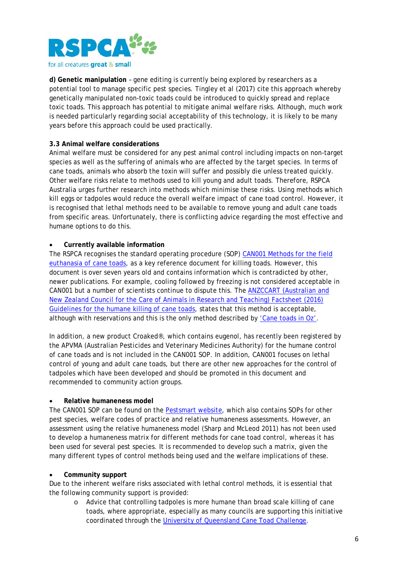

**d) Genetic manipulation** – gene editing is currently being explored by researchers as a potential tool to manage specific pest species. Tingley et al (2017) cite this approach whereby genetically manipulated non-toxic toads could be introduced to quickly spread and replace toxic toads. This approach has potential to mitigate animal welfare risks. Although, much work is needed particularly regarding social acceptability of this technology, it is likely to be many years before this approach could be used practically.

#### **3.3 Animal welfare considerations**

Animal welfare must be considered for any pest animal control including impacts on non-target species as well as the suffering of animals who are affected by the target species. In terms of cane toads, animals who absorb the toxin will suffer and possibly die unless treated quickly. Other welfare risks relate to methods used to kill young and adult toads. Therefore, RSPCA Australia urges further research into methods which minimise these risks. Using methods which kill eggs or tadpoles would reduce the overall welfare impact of cane toad control. However, it is recognised that lethal methods need to be available to remove young and adult cane toads from specific areas. Unfortunately, there is conflicting advice regarding the most effective and humane options to do this.

#### • **Currently available information**

The RSPCA recognises the standard operating procedure (SOP) [CAN001 Methods for the field](https://www.pestsmart.org.au/methods-for-the-field-euthanasia-of-cane-toads/)  [euthanasia of cane toads](https://www.pestsmart.org.au/methods-for-the-field-euthanasia-of-cane-toads/)*,* as a key reference document for killing toads. However, this document is over seven years old and contains information which is contradicted by other, newer publications. For example, cooling followed by freezing is not considered acceptable in CAN001 but a number of scientists continue to dispute this. The [ANZCCART \(Australian and](https://www.adelaide.edu.au/ANZCCART/docs/fact-sheets/a15-cane-toads.pdf)  [New Zealand Council for the Care of Animals in Research and Teaching\) Factsheet \(2016\)](https://www.adelaide.edu.au/ANZCCART/docs/fact-sheets/a15-cane-toads.pdf)  [Guidelines for the humane killing of cane toads,](https://www.adelaide.edu.au/ANZCCART/docs/fact-sheets/a15-cane-toads.pdf) states that this method is acceptable, although with reservations and this is the only method described by ['Cane toads in Oz'.](https://www.canetoadsinoz.com/killingtoads.html)

In addition, a new product Croaked®, which contains eugenol, has recently been registered by the APVMA (Australian Pesticides and Veterinary Medicines Authority) for the humane control of cane toads and is not included in the CAN001 SOP. In addition, CAN001 focuses on lethal control of young and adult cane toads, but there are other new approaches for the control of tadpoles which have been developed and should be promoted in this document and recommended to community action groups.

#### • **Relative humaneness model**

The CAN001 SOP can be found on the [Pestsmart website,](https://www.pestsmart.org.au/) which also contains SOPs for other pest species, welfare codes of practice and relative humaneness assessments. However, an assessment using the relative humaneness model (Sharp and McLeod 2011) has not been used to develop a humaneness matrix for different methods for cane toad control, whereas it has been used for several pest species. It is recommended to develop such a matrix, given the many different types of control methods being used and the welfare implications of these.

#### • **Community support**

Due to the inherent welfare risks associated with lethal control methods, it is essential that the following community support is provided:

o Advice that controlling tadpoles is more humane than broad scale killing of cane toads, where appropriate, especially as many councils are supporting this initiative coordinated through the [University of Queensland Cane Toad Challenge.](https://imb.uq.edu.au/canetoadchallenge)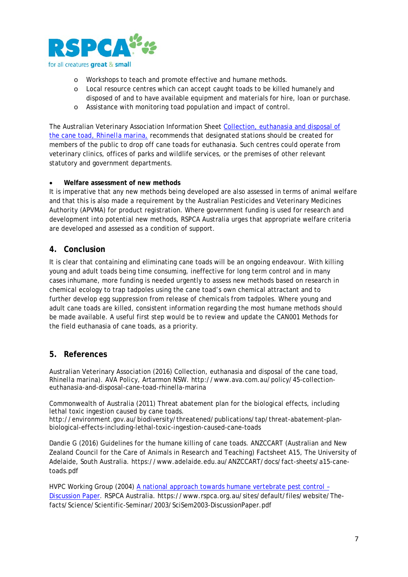

- o Workshops to teach and promote effective and humane methods.
- o Local resource centres which can accept caught toads to be killed humanely and disposed of and to have available equipment and materials for hire, loan or purchase.
- o Assistance with monitoring toad population and impact of control.

The Australian Veterinary Association Information Sheet [Collection, euthanasia and disposal of](http://www.ava.com.au/policy/45-collection-euthanasia-and-disposal-cane-toad-rhinella-marina)  the cane toad, *[Rhinella marina](http://www.ava.com.au/policy/45-collection-euthanasia-and-disposal-cane-toad-rhinella-marina)*, recommends that designated stations should be created for members of the public to drop off cane toads for euthanasia. Such centres could operate from veterinary clinics, offices of parks and wildlife services, or the premises of other relevant statutory and government departments.

#### • **Welfare assessment of new methods**

It is imperative that any new methods being developed are also assessed in terms of animal welfare and that this is also made a requirement by the Australian Pesticides and Veterinary Medicines Authority (APVMA) for product registration. Where government funding is used for research and development into potential new methods, RSPCA Australia urges that appropriate welfare criteria are developed and assessed as a condition of support.

#### **4. Conclusion**

It is clear that containing and eliminating cane toads will be an ongoing endeavour. With killing young and adult toads being time consuming, ineffective for long term control and in many cases inhumane, more funding is needed urgently to assess new methods based on research in chemical ecology to trap tadpoles using the cane toad's own chemical attractant and to further develop egg suppression from release of chemicals from tadpoles. Where young and adult cane toads are killed, consistent information regarding the most humane methods should be made available. A useful first step would be to review and update the CAN001 Methods for the field euthanasia of cane toads, as a priority.

#### **5. References**

Australian Veterinary Association (2016) Collection, euthanasia and disposal of the cane toad, *Rhinella marina*). AVA Policy, Artarmon NSW. http://www.ava.com.au/policy/45-collectioneuthanasia-and-disposal-cane-toad-rhinella-marina

Commonwealth of Australia (2011) Threat abatement plan for the biological effects, including lethal toxic ingestion caused by cane toads.

http://environment.gov.au/biodiversity/threatened/publications/tap/threat-abatement-planbiological-effects-including-lethal-toxic-ingestion-caused-cane-toads

Dandie G (2016) Guidelines for the humane killing of cane toads. ANZCCART (Australian and New Zealand Council for the Care of Animals in Research and Teaching) Factsheet A15, The University of Adelaide, South Australia. https://www.adelaide.edu.au/ANZCCART/docs/fact-sheets/a15-canetoads.pdf

HVPC Working Group (2004) A national approach towards humane vertebrate pest control – Discussion Paper. RSPCA Australia. https://www.rspca.org.au/sites/default/files/website/Thefacts/Science/Scientific-Seminar/2003/SciSem2003-DiscussionPaper.pdf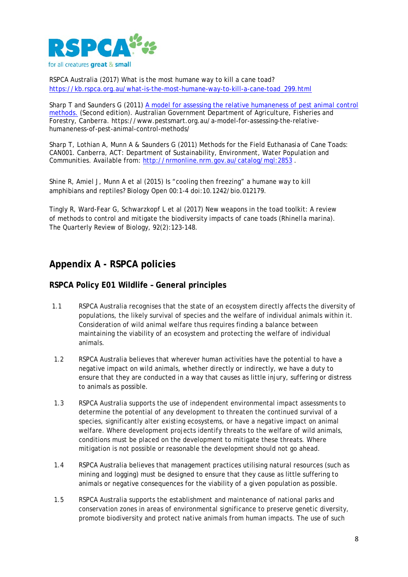

RSPCA Australia (2017) What is the most humane way to kill a cane toad? [https://kb.rspca.org.au/what-is-the-most-humane-way-to-kill-a-cane-toad\\_299.html](https://kb.rspca.org.au/what-is-the-most-humane-way-to-kill-a-cane-toad_299.html)

Sharp T and Saunders G (2011) [A model for assessing the relative humaneness of pest animal control](http://www.pestsmart.org.au/a-model-for-assessing-the-relative-humaneness-of-pest-animal-control-methods/)  [methods.](http://www.pestsmart.org.au/a-model-for-assessing-the-relative-humaneness-of-pest-animal-control-methods/) (Second edition). Australian Government Department of Agriculture, Fisheries and Forestry, Canberra. https://www.pestsmart.org.au/a-model-for-assessing-the-relativehumaneness-of-pest-animal-control-methods/

Sharp T, Lothian A, Munn A & Saunders G (2011) Methods for the Field Euthanasia of Cane Toads: CAN001. Canberra, ACT: Department of Sustainability, Environment, Water Population and Communities. Available from: <http://nrmonline.nrm.gov.au/catalog/mql:2853> .

Shine R, Amiel J, Munn A et al (2015) Is "cooling then freezing" a humane way to kill amphibians and reptiles? Biology Open 00:1-4 doi:10.1242/bio.012179.

Tingly R, Ward-Fear G, Schwarzkopf L et al (2017) New weapons in the toad toolkit: A review of methods to control and mitigate the biodiversity impacts of cane toads (*Rhinella marina*). The Quarterly Review of Biology, 92(2):123-148.

## **Appendix A - RSPCA policies**

#### **RSPCA Policy E01 Wildlife – General principles**

- 1.1 RSPCA Australia recognises that the state of an ecosystem directly affects the diversity of populations, the likely survival of species and the welfare of individual animals within it. Consideration of wild animal welfare thus requires finding a balance between maintaining the viability of an ecosystem and protecting the welfare of individual animals.
- 1.2 RSPCA Australia believes that wherever human activities have the potential to have a negative impact on wild animals, whether directly or indirectly, we have a duty to ensure that they are conducted in a way that causes as little injury, suffering or distress to animals as possible.
- 1.3 RSPCA Australia supports the use of independent environmental impact assessments to determine the potential of any development to threaten the continued survival of a species, significantly alter existing ecosystems, or have a negative impact on animal welfare. Where development projects identify threats to the welfare of wild animals, conditions must be placed on the development to mitigate these threats. Where mitigation is not possible or reasonable the development should not go ahead.
- 1.4 RSPCA Australia believes that management practices utilising natural resources (such as mining and logging) must be designed to ensure that they cause as little suffering to animals or negative consequences for the viability of a given population as possible.
- 1.5 RSPCA Australia supports the establishment and maintenance of national parks and conservation zones in areas of environmental significance to preserve genetic diversity, promote biodiversity and protect native animals from human impacts. The use of such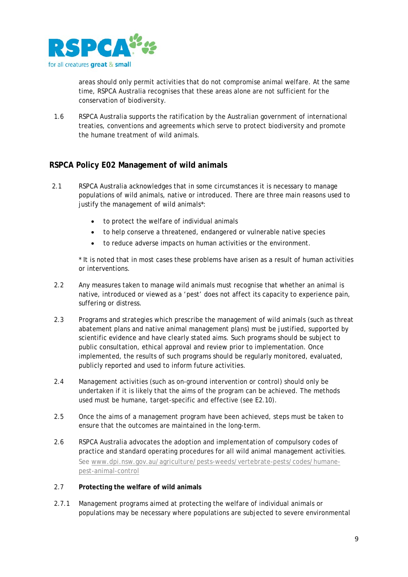

areas should only permit activities that do not compromise animal welfare. At the same time, RSPCA Australia recognises that these areas alone are not sufficient for the conservation of biodiversity.

1.6 RSPCA Australia supports the ratification by the Australian government of international treaties, conventions and agreements which serve to protect biodiversity and promote the humane treatment of wild animals.

### **RSPCA Policy E02 Management of wild animals**

- 2.1 RSPCA Australia acknowledges that in some circumstances it is necessary to manage populations of wild animals, native or introduced. There are three main reasons used to justify the management of wild animals\*:
	- to protect the welfare of individual animals
	- to help conserve a threatened, endangered or vulnerable native species
	- to reduce adverse impacts on human activities or the environment.

\* It is noted that in most cases these problems have arisen as a result of human activities or interventions.

- 2.2 Any measures taken to manage wild animals must recognise that whether an animal is native, introduced or viewed as a 'pest' does not affect its capacity to experience pain, suffering or distress.
- 2.3 Programs and strategies which prescribe the management of wild animals (such as threat abatement plans and native animal management plans) must be justified, supported by scientific evidence and have clearly stated aims. Such programs should be subject to public consultation, ethical approval and review prior to implementation. Once implemented, the results of such programs should be regularly monitored, evaluated, publicly reported and used to inform future activities.
- 2.4 Management activities (such as on-ground intervention or control) should only be undertaken if it is likely that the aims of the program can be achieved. The methods used must be humane, target-specific and effective (see E2.10).
- 2.5 Once the aims of a management program have been achieved, steps must be taken to ensure that the outcomes are maintained in the long-term.
- 2.6 RSPCA Australia advocates the adoption and implementation of compulsory codes of practice and standard operating procedures for all wild animal management activities. See [www.dpi.nsw.gov.au/agriculture/pests-weeds/vertebrate-pests/codes/humane](http://www.dpi.nsw.gov.au/agriculture/pests-weeds/vertebrate-pests/codes/humane-pest-animal-control)[pest-animal-control](http://www.dpi.nsw.gov.au/agriculture/pests-weeds/vertebrate-pests/codes/humane-pest-animal-control)

#### 2.7 **Protecting the welfare of wild animals**

2.7.1 Management programs aimed at protecting the welfare of individual animals or populations may be necessary where populations are subjected to severe environmental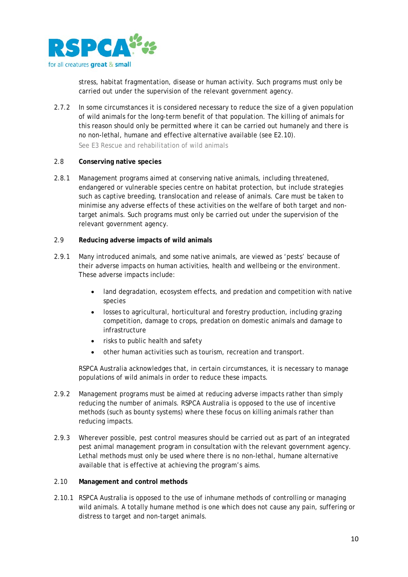

stress, habitat fragmentation, disease or human activity. Such programs must only be carried out under the supervision of the relevant government agency.

2.7.2 In some circumstances it is considered necessary to reduce the size of a given population of wild animals for the long-term benefit of that population. The killing of animals for this reason should only be permitted where it can be carried out humanely and there is no non-lethal, humane and effective alternative available (see E2.10).

See E3 Rescue and rehabilitation of wild animals

#### 2.8 **Conserving native species**

2.8.1 Management programs aimed at conserving native animals, including threatened, endangered or vulnerable species centre on habitat protection, but include strategies such as captive breeding, translocation and release of animals. Care must be taken to minimise any adverse effects of these activities on the welfare of both target and nontarget animals. Such programs must only be carried out under the supervision of the relevant government agency.

#### 2.9 **Reducing adverse impacts of wild animals**

- 2.9.1 Many introduced animals, and some native animals, are viewed as 'pests' because of their adverse impacts on human activities, health and wellbeing or the environment. These adverse impacts include:
	- land degradation, ecosystem effects, and predation and competition with native species
	- losses to agricultural, horticultural and forestry production, including grazing competition, damage to crops, predation on domestic animals and damage to infrastructure
	- risks to public health and safety
	- other human activities such as tourism, recreation and transport.

RSPCA Australia acknowledges that, in certain circumstances, it is necessary to manage populations of wild animals in order to reduce these impacts.

- 2.9.2 Management programs must be aimed at reducing adverse impacts rather than simply reducing the number of animals. RSPCA Australia is opposed to the use of incentive methods (such as bounty systems) where these focus on killing animals rather than reducing impacts.
- 2.9.3 Wherever possible, pest control measures should be carried out as part of an integrated pest animal management program in consultation with the relevant government agency. Lethal methods must only be used where there is no non-lethal, humane alternative available that is effective at achieving the program's aims.

#### 2.10 **Management and control methods**

2.10.1 RSPCA Australia is opposed to the use of inhumane methods of controlling or managing wild animals. A totally humane method is one which does not cause any pain, suffering or distress to target and non-target animals.